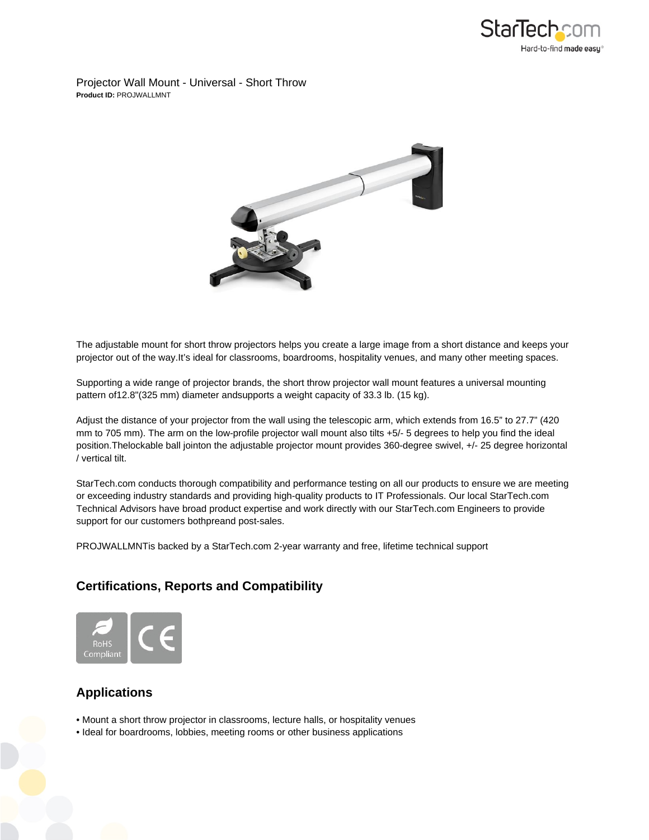

Projector Wall Mount - Universal - Short Throw **Product ID:** PROJWALLMNT



The adjustable mount for short throw projectors helps you create a large image from a short distance and keeps your projector out of the way.It's ideal for classrooms, boardrooms, hospitality venues, and many other meeting spaces.

Supporting a wide range of projector brands, the short throw projector wall mount features a universal mounting pattern of12.8"(325 mm) diameter andsupports a weight capacity of 33.3 lb. (15 kg).

Adjust the distance of your projector from the wall using the telescopic arm, which extends from 16.5" to 27.7" (420 mm to 705 mm). The arm on the low-profile projector wall mount also tilts +5/- 5 degrees to help you find the ideal position.Thelockable ball jointon the adjustable projector mount provides 360-degree swivel, +/- 25 degree horizontal / vertical tilt.

StarTech.com conducts thorough compatibility and performance testing on all our products to ensure we are meeting or exceeding industry standards and providing high-quality products to IT Professionals. Our local StarTech.com Technical Advisors have broad product expertise and work directly with our StarTech.com Engineers to provide support for our customers bothpreand post-sales.

PROJWALLMNTis backed by a StarTech.com 2-year warranty and free, lifetime technical support

## **Certifications, Reports and Compatibility**



## **Applications**

- Mount a short throw projector in classrooms, lecture halls, or hospitality venues
- Ideal for boardrooms, lobbies, meeting rooms or other business applications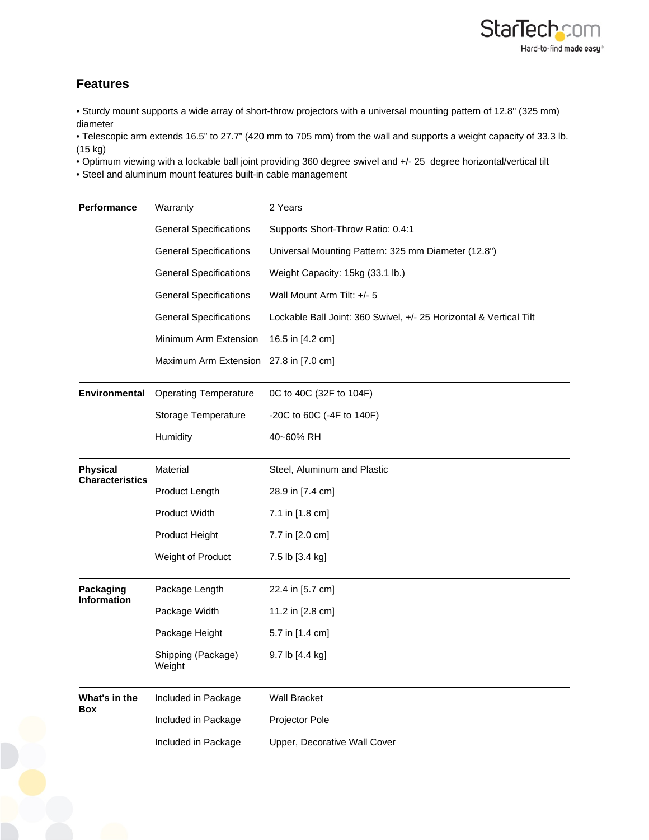

## **Features**

• Sturdy mount supports a wide array of short-throw projectors with a universal mounting pattern of 12.8" (325 mm) diameter

• Telescopic arm extends 16.5" to 27.7" (420 mm to 705 mm) from the wall and supports a weight capacity of 33.3 lb. (15 kg)

• Optimum viewing with a lockable ball joint providing 360 degree swivel and +/- 25 degree horizontal/vertical tilt

• Steel and aluminum mount features built-in cable management

| Performance                               | Warranty                      | 2 Years                                                            |
|-------------------------------------------|-------------------------------|--------------------------------------------------------------------|
|                                           | <b>General Specifications</b> | Supports Short-Throw Ratio: 0.4:1                                  |
|                                           | <b>General Specifications</b> | Universal Mounting Pattern: 325 mm Diameter (12.8")                |
|                                           | <b>General Specifications</b> | Weight Capacity: 15kg (33.1 lb.)                                   |
|                                           | <b>General Specifications</b> | Wall Mount Arm Tilt: +/- 5                                         |
|                                           | <b>General Specifications</b> | Lockable Ball Joint: 360 Swivel, +/- 25 Horizontal & Vertical Tilt |
|                                           | Minimum Arm Extension         | 16.5 in [4.2 cm]                                                   |
|                                           | Maximum Arm Extension         | 27.8 in [7.0 cm]                                                   |
| Environmental                             | <b>Operating Temperature</b>  | 0C to 40C (32F to 104F)                                            |
|                                           | Storage Temperature           | -20C to 60C (-4F to 140F)                                          |
|                                           | Humidity                      | 40~60% RH                                                          |
| <b>Physical</b><br><b>Characteristics</b> | Material                      | Steel, Aluminum and Plastic                                        |
|                                           | Product Length                | 28.9 in [7.4 cm]                                                   |
|                                           | Product Width                 | 7.1 in [1.8 cm]                                                    |
|                                           | Product Height                | 7.7 in [2.0 cm]                                                    |
|                                           | Weight of Product             | 7.5 lb [3.4 kg]                                                    |
| Packaging<br><b>Information</b>           | Package Length                | 22.4 in [5.7 cm]                                                   |
|                                           | Package Width                 | 11.2 in [2.8 cm]                                                   |
|                                           | Package Height                | 5.7 in [1.4 cm]                                                    |
|                                           | Shipping (Package)<br>Weight  | 9.7 lb [4.4 kg]                                                    |
| What's in the                             | Included in Package           | <b>Wall Bracket</b>                                                |
| Box                                       | Included in Package           | Projector Pole                                                     |
|                                           | Included in Package           | Upper, Decorative Wall Cover                                       |